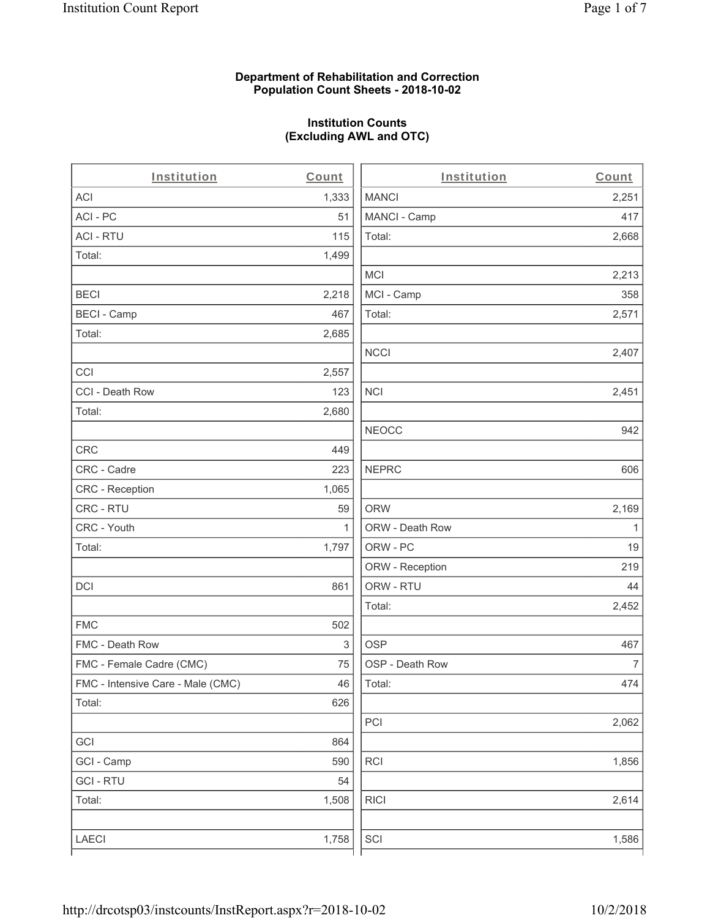### **Department of Rehabilitation and Correction Population Count Sheets - 2018-10-02**

# **Institution Counts (Excluding AWL and OTC)**

. .

| Institution                       | Count        | Institution     | Count        |
|-----------------------------------|--------------|-----------------|--------------|
| ACI                               | 1,333        | <b>MANCI</b>    | 2,251        |
| ACI - PC                          | 51           | MANCI - Camp    | 417          |
| <b>ACI - RTU</b>                  | 115          | Total:          | 2,668        |
| Total:                            | 1,499        |                 |              |
|                                   |              | <b>MCI</b>      | 2,213        |
| <b>BECI</b>                       | 2,218        | MCI - Camp      | 358          |
| <b>BECI - Camp</b>                | 467          | Total:          | 2,571        |
| Total:                            | 2,685        |                 |              |
|                                   |              | <b>NCCI</b>     | 2,407        |
| CCI                               | 2,557        |                 |              |
| CCI - Death Row                   | 123          | <b>NCI</b>      | 2,451        |
| Total:                            | 2,680        |                 |              |
|                                   |              | <b>NEOCC</b>    | 942          |
| CRC                               | 449          |                 |              |
| CRC - Cadre                       | 223          | <b>NEPRC</b>    | 606          |
| CRC - Reception                   | 1,065        |                 |              |
| CRC - RTU                         | 59           | <b>ORW</b>      | 2,169        |
| CRC - Youth                       | $\mathbf{1}$ | ORW - Death Row | $\mathbf{1}$ |
| Total:                            | 1,797        | ORW - PC        | 19           |
|                                   |              | ORW - Reception | 219          |
| DCI                               | 861          | ORW - RTU       | 44           |
|                                   |              | Total:          | 2,452        |
| <b>FMC</b>                        | 502          |                 |              |
| FMC - Death Row                   | 3            | <b>OSP</b>      | 467          |
| FMC - Female Cadre (CMC)          | 75           | OSP - Death Row | 7            |
| FMC - Intensive Care - Male (CMC) | 46           | Total:          | 474          |
| Total:                            | 626          |                 |              |
|                                   |              | PCI             | 2,062        |
| GCI                               | 864          |                 |              |
| GCI - Camp                        | 590          | <b>RCI</b>      | 1,856        |
| <b>GCI-RTU</b>                    | 54           |                 |              |
| Total:                            | 1,508        | <b>RICI</b>     | 2,614        |
|                                   |              |                 |              |
| LAECI                             | 1,758        | SCI             | 1,586        |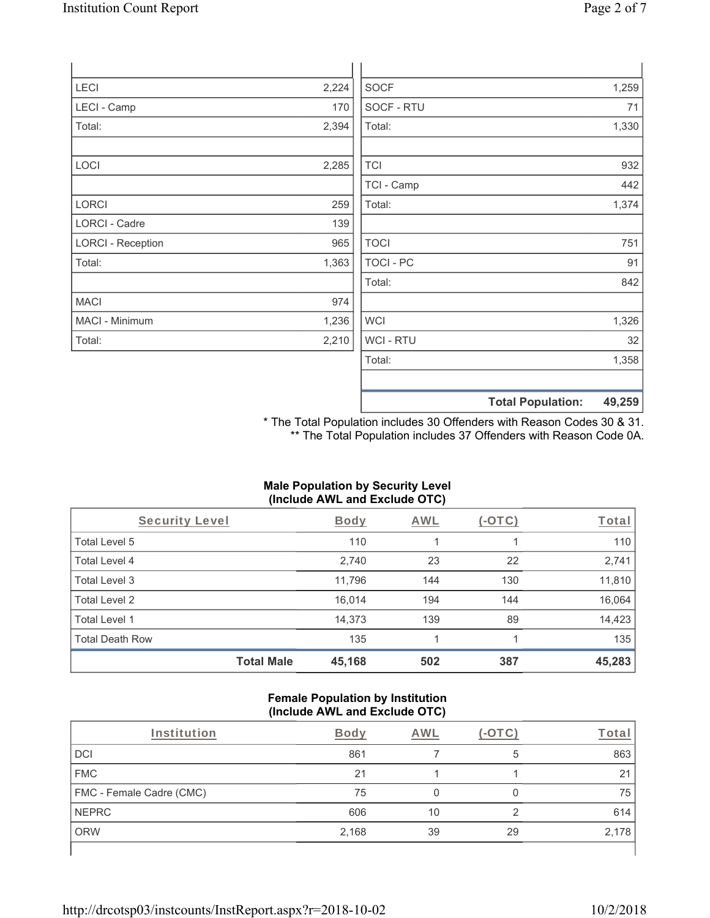| <b>LECI</b>              | 2,224 | <b>SOCF</b>      |                          | 1,259  |
|--------------------------|-------|------------------|--------------------------|--------|
| LECI - Camp              | 170   | SOCF - RTU       |                          | 71     |
| Total:                   | 2,394 | Total:           |                          | 1,330  |
|                          |       |                  |                          |        |
| <b>LOCI</b>              | 2,285 | <b>TCI</b>       |                          | 932    |
|                          |       | TCI - Camp       |                          | 442    |
| <b>LORCI</b>             | 259   | Total:           |                          | 1,374  |
| LORCI - Cadre            | 139   |                  |                          |        |
| <b>LORCI - Reception</b> | 965   | <b>TOCI</b>      |                          | 751    |
| Total:                   | 1,363 | TOCI - PC        |                          | 91     |
|                          |       | Total:           |                          | 842    |
| <b>MACI</b>              | 974   |                  |                          |        |
| MACI - Minimum           | 1,236 | <b>WCI</b>       |                          | 1,326  |
| Total:                   | 2,210 | <b>WCI - RTU</b> |                          | 32     |
|                          |       | Total:           |                          | 1,358  |
|                          |       |                  |                          |        |
|                          |       |                  | <b>Total Population:</b> | 49,259 |

\* The Total Population includes 30 Offenders with Reason Codes 30 & 31. \*\* The Total Population includes 37 Offenders with Reason Code 0A.

# **Male Population by Security Level (Include AWL and Exclude OTC)**

| Security Level         |                   | <b>Body</b> | <b>AWL</b> | (-OTC) | Total  |
|------------------------|-------------------|-------------|------------|--------|--------|
| Total Level 5          |                   | 110         |            |        | 110    |
| Total Level 4          |                   | 2,740       | 23         | 22     | 2,741  |
| Total Level 3          |                   | 11,796      | 144        | 130    | 11,810 |
| Total Level 2          |                   | 16,014      | 194        | 144    | 16,064 |
| Total Level 1          |                   | 14,373      | 139        | 89     | 14,423 |
| <b>Total Death Row</b> |                   | 135         |            |        | 135    |
|                        | <b>Total Male</b> | 45,168      | 502        | 387    | 45,283 |

#### **Female Population by Institution (Include AWL and Exclude OTC)**

| Institution              | Bodv  | AWL |    | ⊺ota  |
|--------------------------|-------|-----|----|-------|
| DCI                      | 861   |     | 5  | 863   |
| <b>FMC</b>               | 21    |     |    | 21    |
| FMC - Female Cadre (CMC) | 75    |     |    | 75    |
| <b>NEPRC</b>             | 606   | 10  | ◠  | 614   |
| <b>ORW</b>               | 2,168 | 39  | 29 | 2,178 |
|                          |       |     |    |       |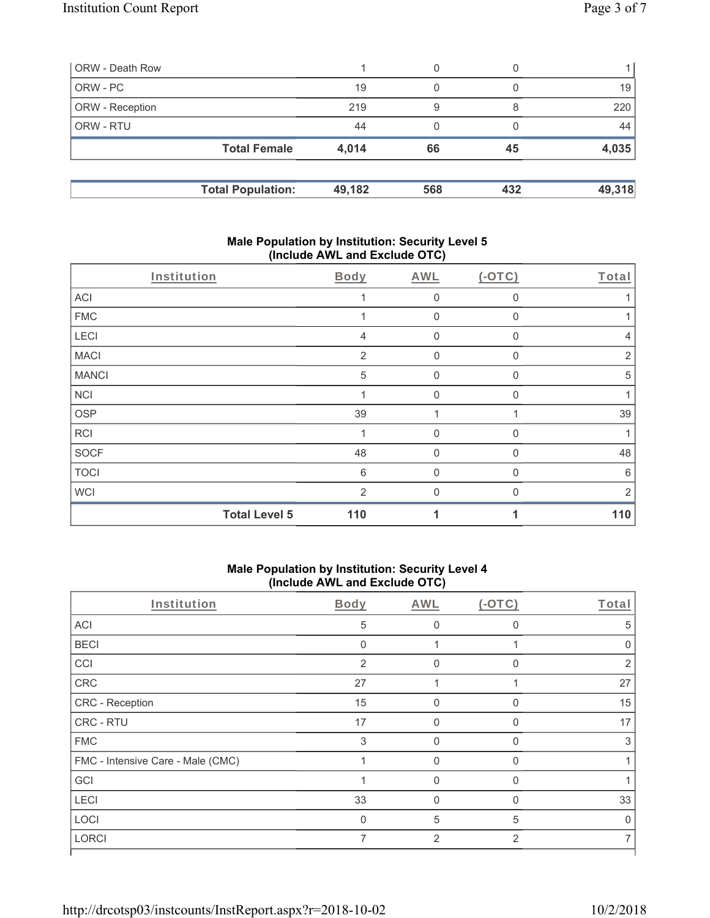| ORW - Death Row        |                          |        | 0   |     |        |
|------------------------|--------------------------|--------|-----|-----|--------|
| ORW - PC               |                          | 19     | 0   |     | 19     |
| <b>ORW</b> - Reception |                          | 219    | 9   |     | 220    |
| <b>ORW - RTU</b>       |                          | 44     | 0   |     | 44     |
|                        | <b>Total Female</b>      | 4,014  | 66  | 45  | 4,035  |
|                        | <b>Total Population:</b> | 49,182 | 568 | 432 | 49,318 |

### **Male Population by Institution: Security Level 5 (Include AWL and Exclude OTC)**

| Institution  |                      | Body           | AWL            | $(-OTC)$     | Total          |
|--------------|----------------------|----------------|----------------|--------------|----------------|
| <b>ACI</b>   |                      |                | $\mathbf 0$    | 0            |                |
| <b>FMC</b>   |                      |                | $\mathbf 0$    | 0            |                |
| LECI         |                      | 4              | 0              | $\mathbf{0}$ | 4              |
| <b>MACI</b>  |                      | 2              | $\mathbf 0$    | 0            | $\overline{2}$ |
| <b>MANCI</b> |                      | 5              | $\mathbf 0$    | 0            | 5              |
| <b>NCI</b>   |                      |                | $\overline{0}$ | $\mathbf{0}$ |                |
| <b>OSP</b>   |                      | 39             |                |              | 39             |
| <b>RCI</b>   |                      | 1              | $\overline{0}$ | $\Omega$     | 1              |
| SOCF         |                      | 48             | $\mathbf 0$    | 0            | 48             |
| <b>TOCI</b>  |                      | 6              | $\overline{0}$ | 0            | 6              |
| <b>WCI</b>   |                      | $\overline{2}$ | $\mathbf{0}$   | O            | 2              |
|              | <b>Total Level 5</b> | 110            |                |              | 110            |

## **Male Population by Institution: Security Level 4 (Include AWL and Exclude OTC)**

| Body           | AWL            | $(-OTC)$       | Total          |
|----------------|----------------|----------------|----------------|
| 5              | $\Omega$       | $\Omega$       | 5              |
| $\mathbf{0}$   |                |                |                |
| $\overline{2}$ | $\Omega$       | $\Omega$       | $\mathfrak{p}$ |
| 27             |                |                | 27             |
| 15             | $\Omega$       | $\Omega$       | 15             |
| 17             | $\Omega$       | O              | 17             |
| 3              | $\Omega$       | $\Omega$       | 3              |
|                | $\Omega$       | 0              |                |
|                | U              | $\Omega$       |                |
| 33             | $\Omega$       | O              | 33             |
| $\Omega$       | 5              | 5              | U              |
| 7              | $\overline{2}$ | $\overline{2}$ |                |
|                |                |                |                |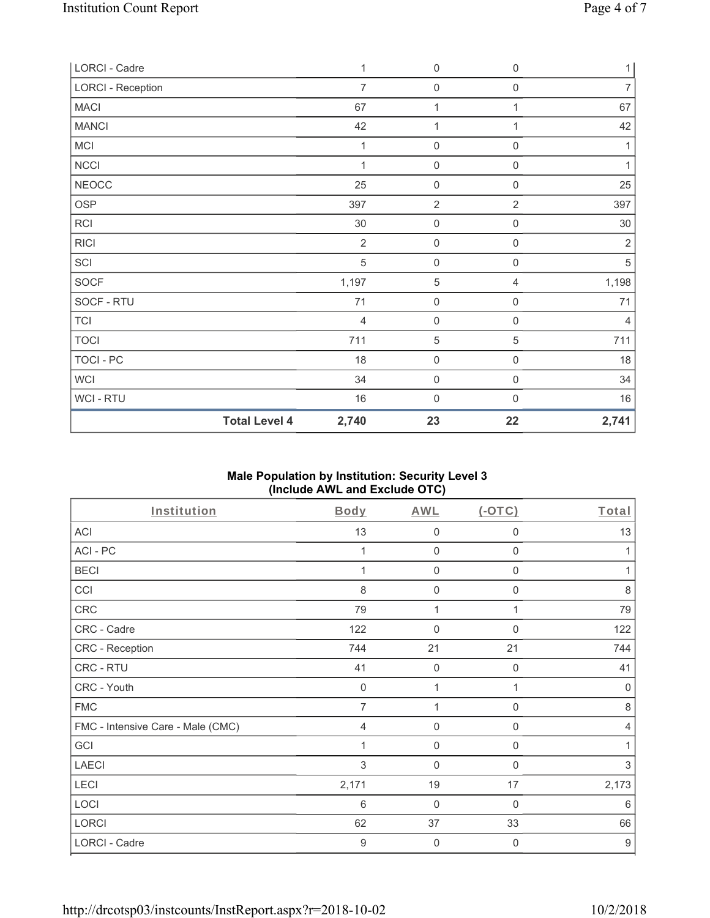| LORCI - Cadre            |                      | 1              | $\mathbf 0$         | $\boldsymbol{0}$    | $\mathbf{1}$   |
|--------------------------|----------------------|----------------|---------------------|---------------------|----------------|
| <b>LORCI - Reception</b> |                      | $\overline{7}$ | $\mathbf 0$         | $\boldsymbol{0}$    | $\overline{7}$ |
| <b>MACI</b>              |                      | 67             | $\mathbf{1}$        | 1                   | 67             |
| <b>MANCI</b>             |                      | 42             | $\mathbf{1}$        | 1                   | 42             |
| MCI                      |                      | 1              | $\mathsf{O}\xspace$ | 0                   | 1              |
| NCCI                     |                      | $\mathbf{1}$   | $\mathsf{O}\xspace$ | $\mathbf 0$         | 1              |
| <b>NEOCC</b>             |                      | 25             | $\mathbf 0$         | $\mathsf{O}\xspace$ | 25             |
| <b>OSP</b>               |                      | 397            | $\overline{2}$      | $\overline{2}$      | 397            |
| RCI                      |                      | 30             | $\mathsf{O}\xspace$ | $\mathsf{O}\xspace$ | 30             |
| <b>RICI</b>              |                      | $\overline{2}$ | $\mathbf 0$         | 0                   | $\overline{2}$ |
| SCI                      |                      | 5              | $\mathbf 0$         | $\mathsf 0$         | $\mathbf 5$    |
| SOCF                     |                      | 1,197          | $\,$ 5 $\,$         | 4                   | 1,198          |
| SOCF - RTU               |                      | 71             | $\mathsf 0$         | $\mathsf{O}\xspace$ | 71             |
| <b>TCI</b>               |                      | $\overline{4}$ | $\mathsf{O}\xspace$ | $\mathsf{O}\xspace$ | $\overline{4}$ |
| <b>TOCI</b>              |                      | 711            | $\,$ 5 $\,$         | 5                   | 711            |
| TOCI - PC                |                      | 18             | $\mathbf 0$         | $\mathsf{O}\xspace$ | 18             |
| <b>WCI</b>               |                      | 34             | $\mathbf 0$         | $\mathsf{O}\xspace$ | 34             |
| WCI - RTU                |                      | 16             | $\mathsf{O}\xspace$ | 0                   | 16             |
|                          | <b>Total Level 4</b> | 2,740          | 23                  | 22                  | 2,741          |

## **Male Population by Institution: Security Level 3 (Include AWL and Exclude OTC)**

| Institution                       | Body           | AWL                 | $(-OTC)$       | Total          |
|-----------------------------------|----------------|---------------------|----------------|----------------|
| ACI                               | 13             | $\mathbf 0$         | $\mathbf 0$    | 13             |
| ACI-PC                            |                | $\mathbf 0$         | 0              | 1              |
| <b>BECI</b>                       |                | $\mathbf 0$         | 0              | 1              |
| CCI                               | 8              | $\mathbf 0$         | $\mathbf{0}$   | 8              |
| CRC                               | 79             | 1                   |                | 79             |
| CRC - Cadre                       | 122            | 0                   | 0              | 122            |
| CRC - Reception                   | 744            | 21                  | 21             | 744            |
| CRC - RTU                         | 41             | $\mathbf 0$         | 0              | 41             |
| CRC - Youth                       | $\mathbf 0$    | 1                   |                | 0              |
| <b>FMC</b>                        | 7              | 1                   | 0              | 8              |
| FMC - Intensive Care - Male (CMC) | $\overline{4}$ | 0                   | $\mathbf 0$    | $\overline{4}$ |
| GCI                               |                | $\mathsf{O}\xspace$ | 0              |                |
| <b>LAECI</b>                      | 3              | $\mathbf 0$         | $\mathbf 0$    | 3              |
| LECI                              | 2,171          | 19                  | 17             | 2,173          |
| LOCI                              | 6              | $\mathbf 0$         | 0              | 6              |
| LORCI                             | 62             | 37                  | 33             | 66             |
| <b>LORCI - Cadre</b>              | 9              | $\mathbf 0$         | $\overline{0}$ | 9              |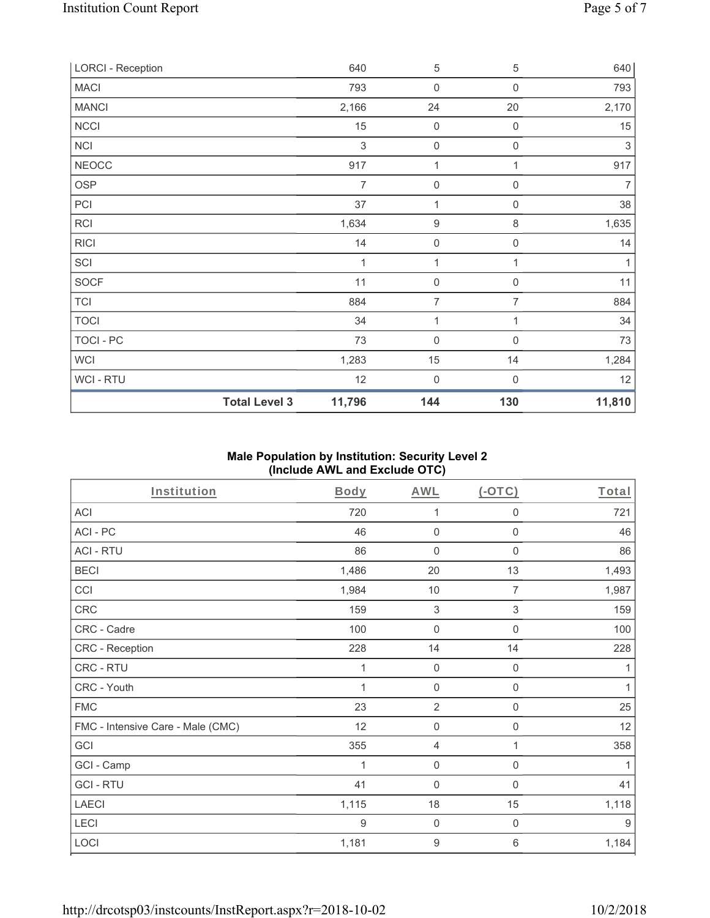| <b>LORCI - Reception</b> |                      | 640            | $\sqrt{5}$          | 5                | 640    |
|--------------------------|----------------------|----------------|---------------------|------------------|--------|
| <b>MACI</b>              |                      | 793            | 0                   | 0                | 793    |
| <b>MANCI</b>             |                      | 2,166          | 24                  | 20               | 2,170  |
| <b>NCCI</b>              |                      | 15             | 0                   | $\mathbf 0$      | 15     |
| <b>NCI</b>               |                      | $\mathfrak{Z}$ | $\boldsymbol{0}$    | $\boldsymbol{0}$ | 3      |
| <b>NEOCC</b>             |                      | 917            | 1                   | 1                | 917    |
| <b>OSP</b>               |                      | $\overline{7}$ | $\mathsf{O}\xspace$ | $\mathbf 0$      | 7      |
| PCI                      |                      | 37             | 1                   | 0                | 38     |
| <b>RCI</b>               |                      | 1,634          | $\boldsymbol{9}$    | 8                | 1,635  |
| <b>RICI</b>              |                      | 14             | $\boldsymbol{0}$    | 0                | 14     |
| SCI                      |                      | 1              | $\mathbf{1}$        | 1                | 1      |
| <b>SOCF</b>              |                      | 11             | $\boldsymbol{0}$    | $\mathbf 0$      | 11     |
| <b>TCI</b>               |                      | 884            | $\overline{7}$      | 7                | 884    |
| <b>TOCI</b>              |                      | 34             | 1                   | 1                | 34     |
| TOCI - PC                |                      | 73             | $\mathbf 0$         | $\overline{0}$   | 73     |
| <b>WCI</b>               |                      | 1,283          | 15                  | 14               | 1,284  |
| WCI-RTU                  |                      | 12             | $\boldsymbol{0}$    | 0                | 12     |
|                          | <b>Total Level 3</b> | 11,796         | 144                 | 130              | 11,810 |

## **Male Population by Institution: Security Level 2 (Include AWL and Exclude OTC)**

| <b>Institution</b>                | <b>Body</b> | <b>AWL</b>          | (OTC)               | Total |
|-----------------------------------|-------------|---------------------|---------------------|-------|
| <b>ACI</b>                        | 720         | 1                   | $\mathbf 0$         | 721   |
| ACI-PC                            | 46          | $\mathbf 0$         | $\mathbf 0$         | 46    |
| <b>ACI - RTU</b>                  | 86          | $\mathbf 0$         | $\mathbf 0$         | 86    |
| <b>BECI</b>                       | 1,486       | 20                  | 13                  | 1,493 |
| CCI                               | 1,984       | 10                  | $\overline{7}$      | 1,987 |
| CRC                               | 159         | $\sqrt{3}$          | $\sqrt{3}$          | 159   |
| CRC - Cadre                       | 100         | $\mathsf{O}\xspace$ | $\mathbf 0$         | 100   |
| CRC - Reception                   | 228         | 14                  | 14                  | 228   |
| CRC - RTU                         | 1           | $\mathsf{O}\xspace$ | $\mathsf{O}\xspace$ | 1     |
| CRC - Youth                       | 1           | $\mathbf 0$         | $\mathsf{O}\xspace$ | 1     |
| <b>FMC</b>                        | 23          | $\overline{2}$      | $\boldsymbol{0}$    | 25    |
| FMC - Intensive Care - Male (CMC) | 12          | $\mathbf 0$         | $\boldsymbol{0}$    | 12    |
| GCI                               | 355         | $\overline{4}$      | 1                   | 358   |
| GCI - Camp                        |             | $\mathbf 0$         | 0                   | 1     |
| <b>GCI-RTU</b>                    | 41          | $\mathbf 0$         | 0                   | 41    |
| <b>LAECI</b>                      | 1,115       | 18                  | 15                  | 1,118 |
| LECI                              | 9           | $\mathbf 0$         | $\boldsymbol{0}$    | $9\,$ |
| LOCI                              | 1,181       | $\boldsymbol{9}$    | 6                   | 1,184 |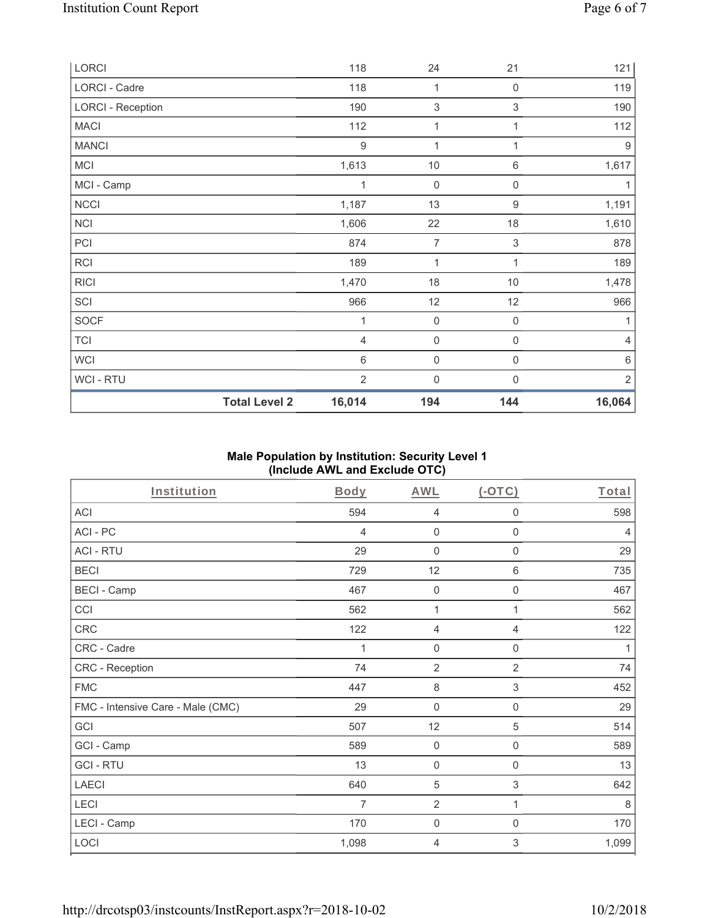| LORCI                    |                      | 118              | 24                  | 21                  | 121              |
|--------------------------|----------------------|------------------|---------------------|---------------------|------------------|
| LORCI - Cadre            |                      | 118              | 1                   | 0                   | 119              |
| <b>LORCI - Reception</b> |                      | 190              | $\sqrt{3}$          | $\mathsf 3$         | 190              |
| <b>MACI</b>              |                      | 112              | 1                   | 1                   | 112              |
| <b>MANCI</b>             |                      | $\boldsymbol{9}$ | 1                   | 1                   | $\boldsymbol{9}$ |
| <b>MCI</b>               |                      | 1,613            | $10$                | $\,6\,$             | 1,617            |
| MCI - Camp               |                      | 1                | $\mathbf 0$         | $\boldsymbol{0}$    | 1                |
| <b>NCCI</b>              |                      | 1,187            | 13                  | $\boldsymbol{9}$    | 1,191            |
| <b>NCI</b>               |                      | 1,606            | 22                  | 18                  | 1,610            |
| PCI                      |                      | 874              | $\overline{7}$      | $\mathsf 3$         | 878              |
| <b>RCI</b>               |                      | 189              | 1                   | 1                   | 189              |
| <b>RICI</b>              |                      | 1,470            | 18                  | $10$                | 1,478            |
| SCI                      |                      | 966              | 12                  | 12                  | 966              |
| <b>SOCF</b>              |                      | 1                | $\mathsf{O}\xspace$ | $\mathsf{O}\xspace$ | 1                |
| <b>TCI</b>               |                      | $\overline{4}$   | $\mathsf{O}\xspace$ | 0                   | $\overline{4}$   |
| <b>WCI</b>               |                      | $6\,$            | $\mathsf{O}\xspace$ | $\mathsf{O}\xspace$ | $\,6\,$          |
| WCI - RTU                |                      | $\sqrt{2}$       | $\mathsf{O}\xspace$ | 0                   | $\sqrt{2}$       |
|                          | <b>Total Level 2</b> | 16,014           | 194                 | 144                 | 16,064           |

## **Male Population by Institution: Security Level 1 (Include AWL and Exclude OTC)**

| <b>Institution</b>                | Body  | <b>AWL</b>     | (OTC)                     | Total          |
|-----------------------------------|-------|----------------|---------------------------|----------------|
| <b>ACI</b>                        | 594   | 4              | $\mathbf 0$               | 598            |
| ACI-PC                            | 4     | $\mathbf 0$    | $\mathbf 0$               | $\overline{4}$ |
| <b>ACI - RTU</b>                  | 29    | $\mathbf 0$    | $\mathbf 0$               | 29             |
| <b>BECI</b>                       | 729   | 12             | 6                         | 735            |
| <b>BECI - Camp</b>                | 467   | $\mathbf 0$    | $\boldsymbol{0}$          | 467            |
| CCI                               | 562   | 1              | 1                         | 562            |
| <b>CRC</b>                        | 122   | $\overline{4}$ | $\overline{4}$            | 122            |
| CRC - Cadre                       | 1     | $\mathbf 0$    | $\mathsf{O}\xspace$       | 1              |
| CRC - Reception                   | 74    | $\overline{2}$ | $\overline{2}$            | 74             |
| <b>FMC</b>                        | 447   | $\,8\,$        | $\ensuremath{\mathsf{3}}$ | 452            |
| FMC - Intensive Care - Male (CMC) | 29    | $\mathbf 0$    | 0                         | 29             |
| GCI                               | 507   | 12             | 5                         | 514            |
| GCI - Camp                        | 589   | $\mathbf 0$    | 0                         | 589            |
| <b>GCI-RTU</b>                    | 13    | $\mathbf 0$    | $\boldsymbol{0}$          | 13             |
| <b>LAECI</b>                      | 640   | 5              | $\sqrt{3}$                | 642            |
| LECI                              | 7     | $\overline{2}$ | 1                         | 8              |
| LECI - Camp                       | 170   | $\mathbf 0$    | $\mathbf 0$               | 170            |
| LOCI                              | 1,098 | $\overline{4}$ | 3                         | 1,099          |